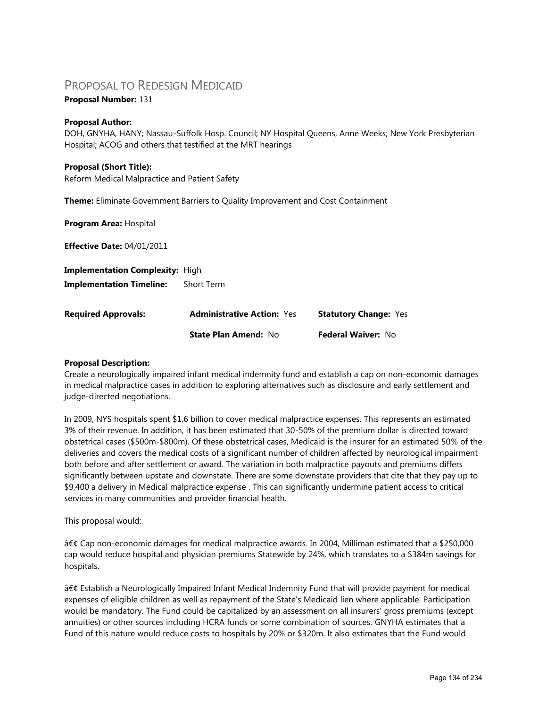# PROPOSAL TO REDESIGN MEDICAID

## **Proposal Number:** 131

## **Proposal Author:**

DOH, GNYHA, HANY; Nassau-Suffolk Hosp. Council; NY Hospital Queens, Anne Weeks; New York Presbyterian Hospital; ACOG and others that testified at the MRT hearings

#### **Proposal (Short Title):**

Reform Medical Malpractice and Patient Safety

**Theme:** Eliminate Government Barriers to Quality Improvement and Cost Containment

**Program Area:** Hospital **Effective Date:** 04/01/2011

**Implementation Complexity:** High **Implementation Timeline:** Short Term

| <b>Required Approvals:</b> | <b>Administrative Action: Yes</b> | <b>Statutory Change: Yes</b> |  |
|----------------------------|-----------------------------------|------------------------------|--|
|                            | <b>State Plan Amend: No</b>       | <b>Federal Waiver: No</b>    |  |

## **Proposal Description:**

Create a neurologically impaired infant medical indemnity fund and establish a cap on non-economic damages in medical malpractice cases in addition to exploring alternatives such as disclosure and early settlement and judge-directed negotiations.

In 2009, NYS hospitals spent \$1.6 billion to cover medical malpractice expenses. This represents an estimated 3% of their revenue. In addition, it has been estimated that 30-50% of the premium dollar is directed toward obstetrical cases (\$500m-\$800m). Of these obstetrical cases, Medicaid is the insurer for an estimated 50% of the deliveries and covers the medical costs of a significant number of children affected by neurological impairment both before and after settlement or award. The variation in both malpractice payouts and premiums differs significantly between upstate and downstate. There are some downstate providers that cite that they pay up to \$9,400 a delivery in Medical malpractice expense . This can significantly undermine patient access to critical services in many communities and provider financial health.

This proposal would:

• Cap non-economic damages for medical malpractice awards. In 2004, Milliman estimated that a \$250,000 cap would reduce hospital and physician premiums Statewide by 24%, which translates to a \$384m savings for hospitals.

• Establish a Neurologically Impaired Infant Medical Indemnity Fund that will provide payment for medical expenses of eligible children as well as repayment of the State's Medicaid lien where applicable. Participation would be mandatory. The Fund could be capitalized by an assessment on all insurers' gross premiums (except annuities) or other sources including HCRA funds or some combination of sources. GNYHA estimates that a Fund of this nature would reduce costs to hospitals by 20% or \$320m. It also estimates that the Fund would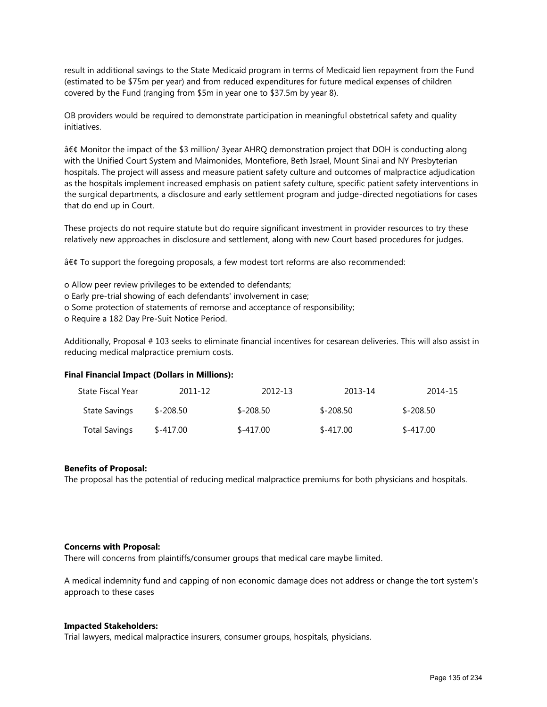result in additional savings to the State Medicaid program in terms of Medicaid lien repayment from the Fund (estimated to be \$75m per year) and from reduced expenditures for future medical expenses of children covered by the Fund (ranging from \$5m in year one to \$37.5m by year 8).

OB providers would be required to demonstrate participation in meaningful obstetrical safety and quality initiatives.

• Monitor the impact of the \$3 million/ 3year AHRQ demonstration project that DOH is conducting along with the Unified Court System and Maimonides, Montefiore, Beth Israel, Mount Sinai and NY Presbyterian hospitals. The project will assess and measure patient safety culture and outcomes of malpractice adjudication as the hospitals implement increased emphasis on patient safety culture, specific patient safety interventions in the surgical departments, a disclosure and early settlement program and judge-directed negotiations for cases that do end up in Court.

These projects do not require statute but do require significant investment in provider resources to try these relatively new approaches in disclosure and settlement, along with new Court based procedures for judges.

• To support the foregoing proposals, a few modest tort reforms are also recommended:

- o Allow peer review privileges to be extended to defendants;
- o Early pre-trial showing of each defendants' involvement in case;
- o Some protection of statements of remorse and acceptance of responsibility;
- o Require a 182 Day Pre-Suit Notice Period.

Additionally, Proposal # 103 seeks to eliminate financial incentives for cesarean deliveries. This will also assist in reducing medical malpractice premium costs.

#### **Final Financial Impact (Dollars in Millions):**

| State Fiscal Year    | 2011-12    | 2012-13     | 2013-14     | 2014-15     |
|----------------------|------------|-------------|-------------|-------------|
| <b>State Savings</b> | \$-208.50  | $$ -208.50$ | $$ -208.50$ | $$ -208.50$ |
| <b>Total Savings</b> | $$-417.00$ | $$-417.00$  | $$-417.00$  | $$-417.00$  |

#### **Benefits of Proposal:**

The proposal has the potential of reducing medical malpractice premiums for both physicians and hospitals.

#### **Concerns with Proposal:**

There will concerns from plaintiffs/consumer groups that medical care maybe limited.

A medical indemnity fund and capping of non economic damage does not address or change the tort system's approach to these cases

#### **Impacted Stakeholders:**

Trial lawyers, medical malpractice insurers, consumer groups, hospitals, physicians.